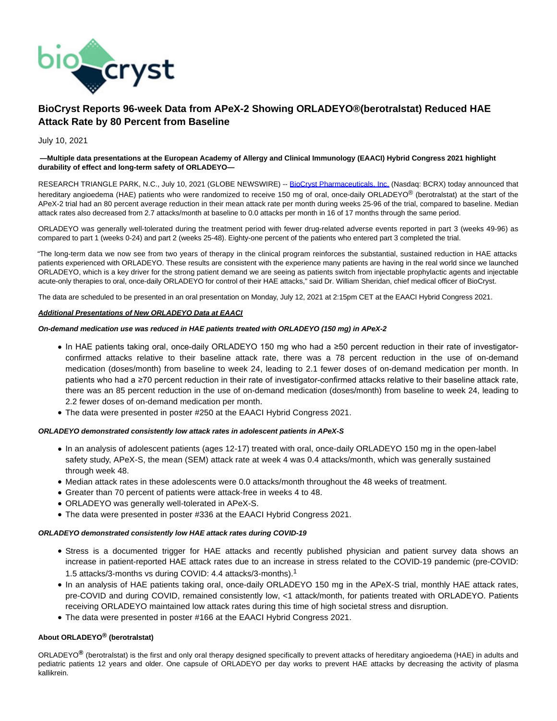

# **BioCryst Reports 96-week Data from APeX-2 Showing ORLADEYO®(berotralstat) Reduced HAE Attack Rate by 80 Percent from Baseline**

## July 10, 2021

### **—Multiple data presentations at the European Academy of Allergy and Clinical Immunology (EAACI) Hybrid Congress 2021 highlight durability of effect and long-term safety of ORLADEYO—**

RESEARCH TRIANGLE PARK, N.C., July 10, 2021 (GLOBE NEWSWIRE) -- [BioCryst Pharmaceuticals, Inc. \(](https://www.globenewswire.com/Tracker?data=EG_rXCs60FAlnRQ56t9-NHPSpWjdqrXcsC-8qX49fCj2E7-HO8UfljgAUZ05KaI0hKhfaCitpQVIGfUQ4Bm2GLnEDuR2LN6Ft_r-GAZS4Us=)Nasdaq: BCRX) today announced that hereditary angioedema (HAE) patients who were randomized to receive 150 mg of oral, once-daily ORLADEYO® (berotralstat) at the start of the APeX-2 trial had an 80 percent average reduction in their mean attack rate per month during weeks 25-96 of the trial, compared to baseline. Median attack rates also decreased from 2.7 attacks/month at baseline to 0.0 attacks per month in 16 of 17 months through the same period.

ORLADEYO was generally well-tolerated during the treatment period with fewer drug-related adverse events reported in part 3 (weeks 49-96) as compared to part 1 (weeks 0-24) and part 2 (weeks 25-48). Eighty-one percent of the patients who entered part 3 completed the trial.

"The long-term data we now see from two years of therapy in the clinical program reinforces the substantial, sustained reduction in HAE attacks patients experienced with ORLADEYO. These results are consistent with the experience many patients are having in the real world since we launched ORLADEYO, which is a key driver for the strong patient demand we are seeing as patients switch from injectable prophylactic agents and injectable acute-only therapies to oral, once-daily ORLADEYO for control of their HAE attacks," said Dr. William Sheridan, chief medical officer of BioCryst.

The data are scheduled to be presented in an oral presentation on Monday, July 12, 2021 at 2:15pm CET at the EAACI Hybrid Congress 2021.

## **Additional Presentations of New ORLADEYO Data at EAACI**

# **On-demand medication use was reduced in HAE patients treated with ORLADEYO (150 mg) in APeX-2**

- In HAE patients taking oral, once-daily ORLADEYO 150 mg who had a ≥50 percent reduction in their rate of investigatorconfirmed attacks relative to their baseline attack rate, there was a 78 percent reduction in the use of on-demand medication (doses/month) from baseline to week 24, leading to 2.1 fewer doses of on-demand medication per month. In patients who had a ≥70 percent reduction in their rate of investigator-confirmed attacks relative to their baseline attack rate, there was an 85 percent reduction in the use of on-demand medication (doses/month) from baseline to week 24, leading to 2.2 fewer doses of on-demand medication per month.
- The data were presented in poster #250 at the EAACI Hybrid Congress 2021.

# **ORLADEYO demonstrated consistently low attack rates in adolescent patients in APeX-S**

- In an analysis of adolescent patients (ages 12-17) treated with oral, once-daily ORLADEYO 150 mg in the open-label safety study, APeX-S, the mean (SEM) attack rate at week 4 was 0.4 attacks/month, which was generally sustained through week 48.
- Median attack rates in these adolescents were 0.0 attacks/month throughout the 48 weeks of treatment.
- Greater than 70 percent of patients were attack-free in weeks 4 to 48.
- ORLADEYO was generally well-tolerated in APeX-S.
- The data were presented in poster #336 at the EAACI Hybrid Congress 2021.

## **ORLADEYO demonstrated consistently low HAE attack rates during COVID-19**

- Stress is a documented trigger for HAE attacks and recently published physician and patient survey data shows an increase in patient-reported HAE attack rates due to an increase in stress related to the COVID-19 pandemic (pre-COVID: 1.5 attacks/3-months vs during COVID: 4.4 attacks/3-months).<sup>1</sup>
- In an analysis of HAE patients taking oral, once-daily ORLADEYO 150 mg in the APeX-S trial, monthly HAE attack rates, pre-COVID and during COVID, remained consistently low, <1 attack/month, for patients treated with ORLADEYO. Patients receiving ORLADEYO maintained low attack rates during this time of high societal stress and disruption.
- The data were presented in poster #166 at the EAACI Hybrid Congress 2021.

# **About ORLADEYO® (berotralstat)**

ORLADEYO**®** (berotralstat) is the first and only oral therapy designed specifically to prevent attacks of hereditary angioedema (HAE) in adults and pediatric patients 12 years and older. One capsule of ORLADEYO per day works to prevent HAE attacks by decreasing the activity of plasma kallikrein.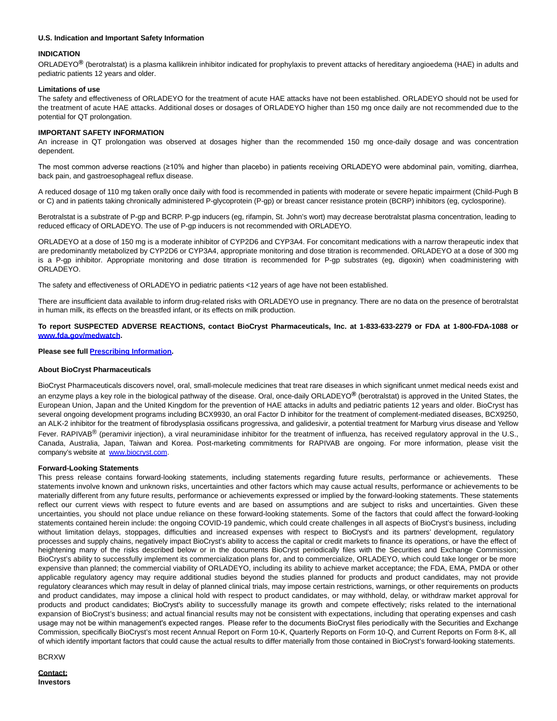### **U.S. Indication and Important Safety Information**

#### **INDICATION**

ORLADEYO**®** (berotralstat) is a plasma kallikrein inhibitor indicated for prophylaxis to prevent attacks of hereditary angioedema (HAE) in adults and pediatric patients 12 years and older.

#### **Limitations of use**

The safety and effectiveness of ORLADEYO for the treatment of acute HAE attacks have not been established. ORLADEYO should not be used for the treatment of acute HAE attacks. Additional doses or dosages of ORLADEYO higher than 150 mg once daily are not recommended due to the potential for QT prolongation.

### **IMPORTANT SAFETY INFORMATION**

An increase in QT prolongation was observed at dosages higher than the recommended 150 mg once-daily dosage and was concentration dependent.

The most common adverse reactions (≥10% and higher than placebo) in patients receiving ORLADEYO were abdominal pain, vomiting, diarrhea, back pain, and gastroesophageal reflux disease.

A reduced dosage of 110 mg taken orally once daily with food is recommended in patients with moderate or severe hepatic impairment (Child-Pugh B or C) and in patients taking chronically administered P-glycoprotein (P-gp) or breast cancer resistance protein (BCRP) inhibitors (eg, cyclosporine).

Berotralstat is a substrate of P-gp and BCRP. P-gp inducers (eg, rifampin, St. John's wort) may decrease berotralstat plasma concentration, leading to reduced efficacy of ORLADEYO. The use of P-gp inducers is not recommended with ORLADEYO.

ORLADEYO at a dose of 150 mg is a moderate inhibitor of CYP2D6 and CYP3A4. For concomitant medications with a narrow therapeutic index that are predominantly metabolized by CYP2D6 or CYP3A4, appropriate monitoring and dose titration is recommended. ORLADEYO at a dose of 300 mg is a P-gp inhibitor. Appropriate monitoring and dose titration is recommended for P-gp substrates (eg, digoxin) when coadministering with ORLADEYO.

The safety and effectiveness of ORLADEYO in pediatric patients <12 years of age have not been established.

There are insufficient data available to inform drug-related risks with ORLADEYO use in pregnancy. There are no data on the presence of berotralstat in human milk, its effects on the breastfed infant, or its effects on milk production.

## **To report SUSPECTED ADVERSE REACTIONS, contact BioCryst Pharmaceuticals, Inc. at 1-833-633-2279 or FDA at 1-800-FDA-1088 or [www.fda.gov/medwatch.](https://www.globenewswire.com/Tracker?data=Nyj71_Jxy12fG1ZbyIfDoLqMM33-nPamVtWQR-KqcauuJns7tT3z3cy2GwaKHZMX6RgKCFchIJ021bMj0Qy87znJ8RheGuKsSKd8UaWrsRI=)**

# **Please see full [Prescribing Information.](https://www.globenewswire.com/Tracker?data=6mHV3pHw_VhOEcvkUQw7wumCXIbr2DO0LyF_a1bxgMMKtcr81KUj2l0U7BvhxJa9oBer3XD8yvhyJ_M5pKWUlhDdbKLH-_6m5dU-rZLddy_UdR3aZr4LmRMzgM3RrLxdnzT3B6LsagX22rqNPwBERrZ0RnwoNjgEsZ9nwRuBcms=)**

#### **About BioCryst Pharmaceuticals**

BioCryst Pharmaceuticals discovers novel, oral, small-molecule medicines that treat rare diseases in which significant unmet medical needs exist and an enzyme plays a key role in the biological pathway of the disease. Oral, once-daily ORLADEYO**®** (berotralstat) is approved in the United States, the European Union, Japan and the United Kingdom for the prevention of HAE attacks in adults and pediatric patients 12 years and older. BioCryst has several ongoing development programs including BCX9930, an oral Factor D inhibitor for the treatment of complement-mediated diseases, BCX9250, an ALK-2 inhibitor for the treatment of fibrodysplasia ossificans progressiva, and galidesivir, a potential treatment for Marburg virus disease and Yellow Fever. RAPIVAB<sup>®</sup> (peramivir injection), a viral neuraminidase inhibitor for the treatment of influenza, has received regulatory approval in the U.S., Canada, Australia, Japan, Taiwan and Korea. Post-marketing commitments for RAPIVAB are ongoing. For more information, please visit the company's website at [www.biocryst.com.](https://www.globenewswire.com/Tracker?data=oiFMUrhM1buC2dlOpyQYIyXq3q_Ai9s-n6Lo50KyEsOLSZM4S0fqzlnzYr2o7PLiHuQViwA_DFZ_qZBTT2rE0A==)

#### **Forward-Looking Statements**

This press release contains forward-looking statements, including statements regarding future results, performance or achievements. These statements involve known and unknown risks, uncertainties and other factors which may cause actual results, performance or achievements to be materially different from any future results, performance or achievements expressed or implied by the forward-looking statements. These statements reflect our current views with respect to future events and are based on assumptions and are subject to risks and uncertainties. Given these uncertainties, you should not place undue reliance on these forward-looking statements. Some of the factors that could affect the forward-looking statements contained herein include: the ongoing COVID-19 pandemic, which could create challenges in all aspects of BioCryst's business, including without limitation delays, stoppages, difficulties and increased expenses with respect to BioCryst's and its partners' development, regulatory processes and supply chains, negatively impact BioCryst's ability to access the capital or credit markets to finance its operations, or have the effect of heightening many of the risks described below or in the documents BioCryst periodically files with the Securities and Exchange Commission; BioCryst's ability to successfully implement its commercialization plans for, and to commercialize, ORLADEYO, which could take longer or be more expensive than planned; the commercial viability of ORLADEYO, including its ability to achieve market acceptance; the FDA, EMA, PMDA or other applicable regulatory agency may require additional studies beyond the studies planned for products and product candidates, may not provide regulatory clearances which may result in delay of planned clinical trials, may impose certain restrictions, warnings, or other requirements on products and product candidates, may impose a clinical hold with respect to product candidates, or may withhold, delay, or withdraw market approval for products and product candidates; BioCryst's ability to successfully manage its growth and compete effectively; risks related to the international expansion of BioCryst's business; and actual financial results may not be consistent with expectations, including that operating expenses and cash usage may not be within management's expected ranges.  Please refer to the documents BioCryst files periodically with the Securities and Exchange Commission, specifically BioCryst's most recent Annual Report on Form 10-K, Quarterly Reports on Form 10-Q, and Current Reports on Form 8-K, all of which identify important factors that could cause the actual results to differ materially from those contained in BioCryst's forward-looking statements.

```
BCRXW
```
**Contact: Investors**